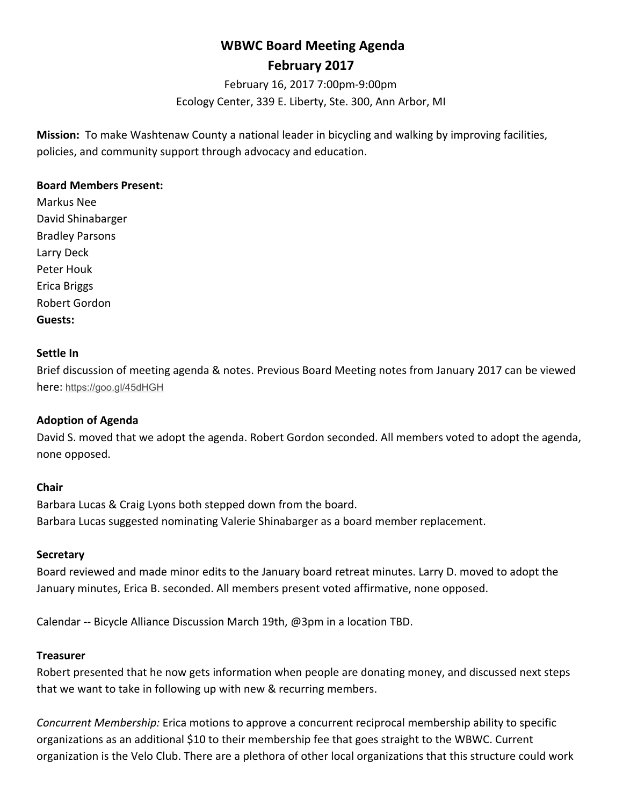# **WBWC Board Meeting Agenda February 2017**

February 16, 2017 7:00pm-9:00pm Ecology Center, 339 E. Liberty, Ste. 300, Ann Arbor, MI

**Mission:** To make Washtenaw County a national leader in bicycling and walking by improving facilities, policies, and community support through advocacy and education.

#### **Board Members Present:**

Markus Nee David Shinabarger Bradley Parsons Larry Deck Peter Houk Erica Briggs Robert Gordon **Guests:**

#### **Settle In**

Brief discussion of meeting agenda & notes. Previous Board Meeting notes from January 2017 can be viewed here: https://goo.gl/45dHGH

## **Adoption of Agenda**

David S. moved that we adopt the agenda. Robert Gordon seconded. All members voted to adopt the agenda, none opposed.

#### **Chair**

Barbara Lucas & Craig Lyons both stepped down from the board. Barbara Lucas suggested nominating Valerie Shinabarger as a board member replacement.

#### **Secretary**

Board reviewed and made minor edits to the January board retreat minutes. Larry D. moved to adopt the January minutes, Erica B. seconded. All members present voted affirmative, none opposed.

Calendar -- Bicycle Alliance Discussion March 19th, @3pm in a location TBD.

#### **Treasurer**

Robert presented that he now gets information when people are donating money, and discussed next steps that we want to take in following up with new & recurring members.

*Concurrent Membership:* Erica motions to approve a concurrent reciprocal membership ability to specific organizations as an additional \$10 to their membership fee that goes straight to the WBWC. Current organization is the Velo Club. There are a plethora of other local organizations that this structure could work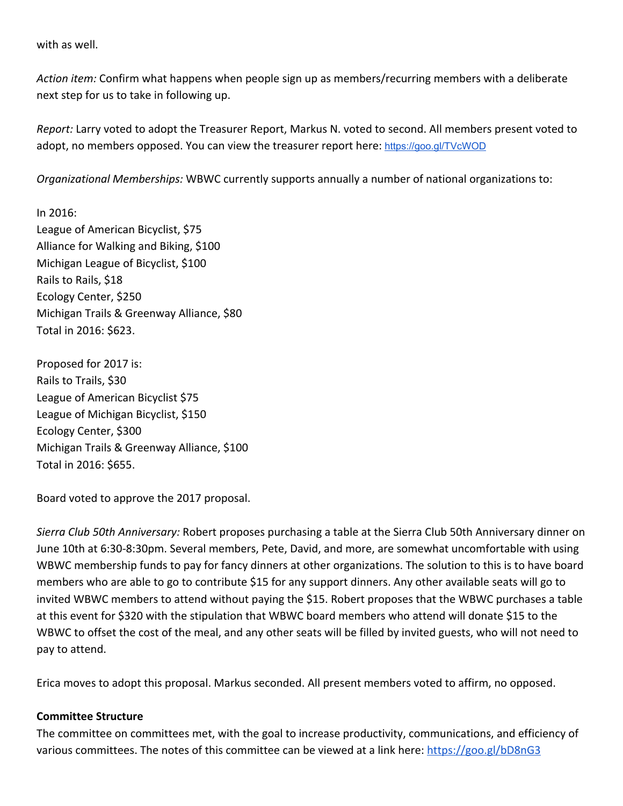with as well.

*Action item:* Confirm what happens when people sign up as members/recurring members with a deliberate next step for us to take in following up.

*Report:* Larry voted to adopt the Treasurer Report, Markus N. voted to second. All members present voted to adopt, no members opposed. You can view the treasurer report here: <https://goo.gl/TVcWOD>

*Organizational Memberships:* WBWC currently supports annually a number of national organizations to:

In 2016: League of American Bicyclist, \$75 Alliance for Walking and Biking, \$100 Michigan League of Bicyclist, \$100 Rails to Rails, \$18 Ecology Center, \$250 Michigan Trails & Greenway Alliance, \$80 Total in 2016: \$623.

Proposed for 2017 is: Rails to Trails, \$30 League of American Bicyclist \$75 League of Michigan Bicyclist, \$150 Ecology Center, \$300 Michigan Trails & Greenway Alliance, \$100 Total in 2016: \$655.

Board voted to approve the 2017 proposal.

*Sierra Club 50th Anniversary:* Robert proposes purchasing a table at the Sierra Club 50th Anniversary dinner on June 10th at 6:30-8:30pm. Several members, Pete, David, and more, are somewhat uncomfortable with using WBWC membership funds to pay for fancy dinners at other organizations. The solution to this is to have board members who are able to go to contribute \$15 for any support dinners. Any other available seats will go to invited WBWC members to attend without paying the \$15. Robert proposes that the WBWC purchases a table at this event for \$320 with the stipulation that WBWC board members who attend will donate \$15 to the WBWC to offset the cost of the meal, and any other seats will be filled by invited guests, who will not need to pay to attend.

Erica moves to adopt this proposal. Markus seconded. All present members voted to affirm, no opposed.

## **Committee Structure**

The committee on committees met, with the goal to increase productivity, communications, and efficiency of various committees. The notes of this committee can be viewed at a link here:<https://goo.gl/bD8nG3>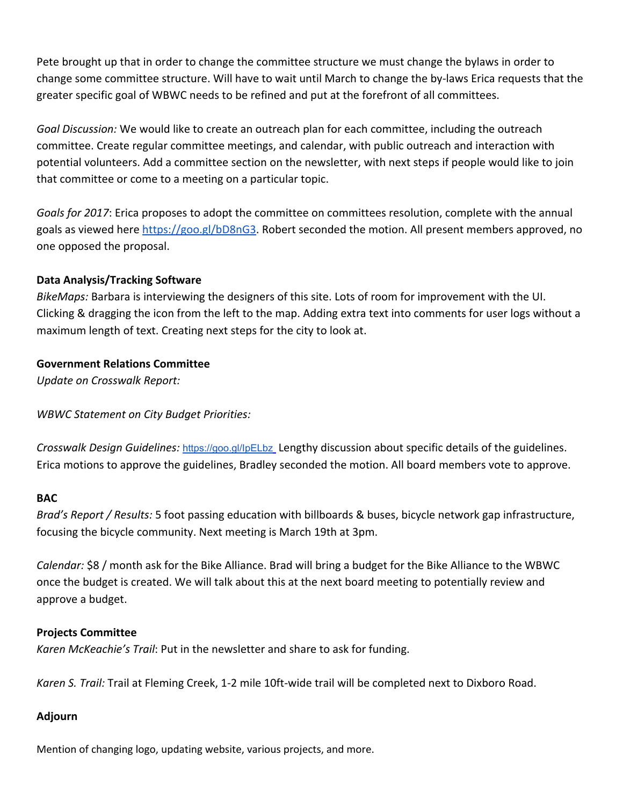Pete brought up that in order to change the committee structure we must change the bylaws in order to change some committee structure. Will have to wait until March to change the by-laws Erica requests that the greater specific goal of WBWC needs to be refined and put at the forefront of all committees.

*Goal Discussion:* We would like to create an outreach plan for each committee, including the outreach committee. Create regular committee meetings, and calendar, with public outreach and interaction with potential volunteers. Add a committee section on the newsletter, with next steps if people would like to join that committee or come to a meeting on a particular topic.

*Goals for 2017*: Erica proposes to adopt the committee on committees resolution, complete with the annual goals as viewed here [https://goo.gl/bD8nG3.](https://goo.gl/bD8nG3) Robert seconded the motion. All present members approved, no one opposed the proposal.

# **Data Analysis/Tracking Software**

*BikeMaps:* Barbara is interviewing the designers of this site. Lots of room for improvement with the UI. Clicking & dragging the icon from the left to the map. Adding extra text into comments for user logs without a maximum length of text. Creating next steps for the city to look at.

# **Government Relations Committee**

*Update on Crosswalk Report:*

*WBWC Statement on City Budget Priorities:*

*Crosswalk Design Guidelines:* <https://goo.gl/IpELbz> Lengthy discussion about specific details of the guidelines. Erica motions to approve the guidelines, Bradley seconded the motion. All board members vote to approve.

## **BAC**

*Brad's Report / Results:* 5 foot passing education with billboards & buses, bicycle network gap infrastructure, focusing the bicycle community. Next meeting is March 19th at 3pm.

*Calendar:* \$8 / month ask for the Bike Alliance. Brad will bring a budget for the Bike Alliance to the WBWC once the budget is created. We will talk about this at the next board meeting to potentially review and approve a budget.

## **Projects Committee**

*Karen McKeachie's Trail*: Put in the newsletter and share to ask for funding.

*Karen S. Trail:* Trail at Fleming Creek, 1-2 mile 10ft-wide trail will be completed next to Dixboro Road.

## **Adjourn**

Mention of changing logo, updating website, various projects, and more.